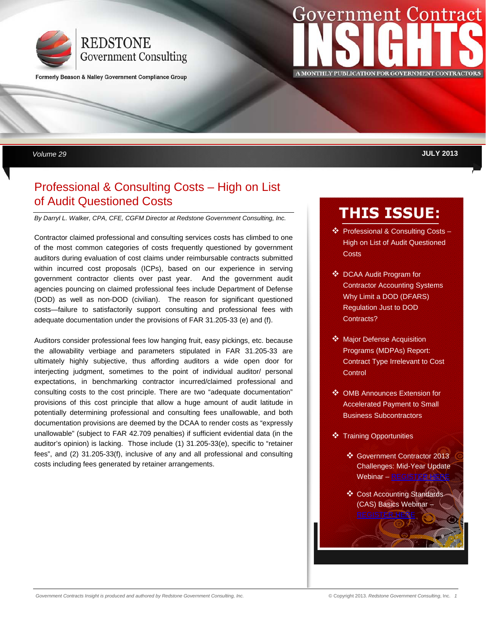

Formerly Beason & Nalley Government Compliance Group

# **Government Contract**  $\blacksquare$  **PUBLICATION**

 *Volume 29* **JULY 2013** 

# Professional & Consulting Costs – High on List of Audit Questioned Costs

*By Darryl L. Walker, CPA, CFE, CGFM Director at Redstone Government Consulting, Inc.* 

Contractor claimed professional and consulting services costs has climbed to one of the most common categories of costs frequently questioned by government auditors during evaluation of cost claims under reimbursable contracts submitted within incurred cost proposals (ICPs), based on our experience in serving government contractor clients over past year. And the government audit agencies pouncing on claimed professional fees include Department of Defense (DOD) as well as non-DOD (civilian). The reason for significant questioned costs—failure to satisfactorily support consulting and professional fees with adequate documentation under the provisions of FAR 31.205-33 (e) and (f).

Auditors consider professional fees low hanging fruit, easy pickings, etc. because the allowability verbiage and parameters stipulated in FAR 31.205-33 are ultimately highly subjective, thus affording auditors a wide open door for interjecting judgment, sometimes to the point of individual auditor/ personal expectations, in benchmarking contractor incurred/claimed professional and consulting costs to the cost principle. There are two "adequate documentation" provisions of this cost principle that allow a huge amount of audit latitude in potentially determining professional and consulting fees unallowable, and both documentation provisions are deemed by the DCAA to render costs as "expressly unallowable" (subject to FAR 42.709 penalties) if sufficient evidential data (in the auditor's opinion) is lacking. Those include (1) 31.205-33(e), specific to "retainer fees", and (2) 31.205-33(f), inclusive of any and all professional and consulting costs including fees generated by retainer arrangements.

# **THIS ISSUE:**

- ❖ Professional & Consulting Costs -High on List of Audit Questioned **Costs**
- **❖** DCAA Audit Program for Contractor Accounting Systems Why Limit a DOD (DFARS) Regulation Just to DOD Contracts?
- **❖** Major Defense Acquisition Programs (MDPAs) Report: Contract Type Irrelevant to Cost Control
- OMB Announces Extension for Accelerated Payment to Small Business Subcontractors
- **❖** Training Opportunities
	- Government Contractor 2013 Challenges: Mid-Year Update Webinar – [REGISTER HERE](http://info.redstonegci.com/08-01-13-government-contractor-2013-challenges-mid-year-update-webinar)
	- Cost Accounting Standards (CAS) Basics Webinar – **REGISTER HER**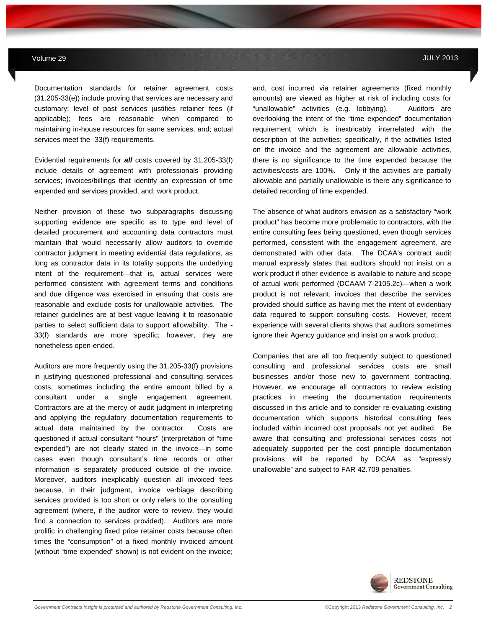Documentation standards for retainer agreement costs (31.205-33(e)) include proving that services are necessary and customary; level of past services justifies retainer fees (if applicable); fees are reasonable when compared to maintaining in-house resources for same services, and; actual services meet the -33(f) requirements.

Evidential requirements for *all* costs covered by 31.205-33(f) include details of agreement with professionals providing services; invoices/billings that identify an expression of time expended and services provided, and; work product.

Neither provision of these two subparagraphs discussing supporting evidence are specific as to type and level of detailed procurement and accounting data contractors must maintain that would necessarily allow auditors to override contractor judgment in meeting evidential data regulations, as long as contractor data in its totality supports the underlying intent of the requirement—that is, actual services were performed consistent with agreement terms and conditions and due diligence was exercised in ensuring that costs are reasonable and exclude costs for unallowable activities. The retainer guidelines are at best vague leaving it to reasonable parties to select sufficient data to support allowability. The - 33(f) standards are more specific; however, they are nonetheless open-ended.

Auditors are more frequently using the 31.205-33(f) provisions in justifying questioned professional and consulting services costs, sometimes including the entire amount billed by a consultant under a single engagement agreement. Contractors are at the mercy of audit judgment in interpreting and applying the regulatory documentation requirements to actual data maintained by the contractor. Costs are questioned if actual consultant "hours" (interpretation of "time expended") are not clearly stated in the invoice—in some cases even though consultant's time records or other information is separately produced outside of the invoice. Moreover, auditors inexplicably question all invoiced fees because, in their judgment, invoice verbiage describing services provided is too short or only refers to the consulting agreement (where, if the auditor were to review, they would find a connection to services provided). Auditors are more prolific in challenging fixed price retainer costs because often times the "consumption" of a fixed monthly invoiced amount (without "time expended" shown) is not evident on the invoice;

and, cost incurred via retainer agreements (fixed monthly amounts) are viewed as higher at risk of including costs for "unallowable" activities (e.g. lobbying). Auditors are overlooking the intent of the "time expended" documentation requirement which is inextricably interrelated with the description of the activities; specifically, if the activities listed on the invoice and the agreement are allowable activities, there is no significance to the time expended because the activities/costs are 100%. Only if the activities are partially allowable and partially unallowable is there any significance to detailed recording of time expended.

The absence of what auditors envision as a satisfactory "work product" has become more problematic to contractors, with the entire consulting fees being questioned, even though services performed, consistent with the engagement agreement, are demonstrated with other data. The DCAA's contract audit manual expressly states that auditors should not insist on a work product if other evidence is available to nature and scope of actual work performed (DCAAM 7-2105.2c)—when a work product is not relevant, invoices that describe the services provided should suffice as having met the intent of evidentiary data required to support consulting costs. However, recent experience with several clients shows that auditors sometimes ignore their Agency guidance and insist on a work product.

Companies that are all too frequently subject to questioned consulting and professional services costs are small businesses and/or those new to government contracting. However, we encourage all contractors to review existing practices in meeting the documentation requirements discussed in this article and to consider re-evaluating existing documentation which supports historical consulting fees included within incurred cost proposals not yet audited. Be aware that consulting and professional services costs not adequately supported per the cost principle documentation provisions will be reported by DCAA as "expressly unallowable" and subject to FAR 42.709 penalties.

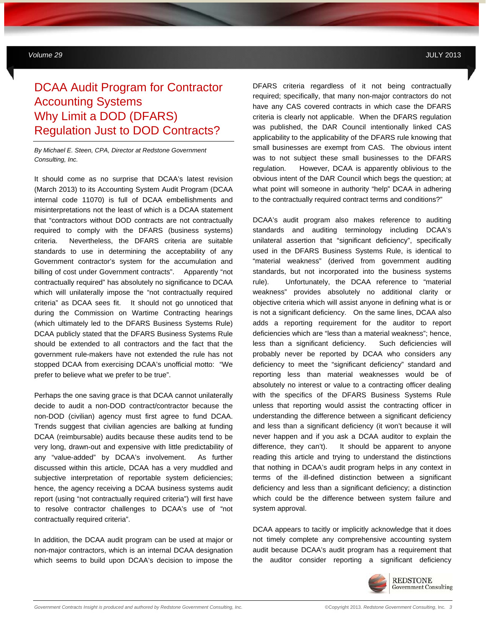# DCAA Audit Program for Contractor Accounting Systems Why Limit a DOD (DFARS) Regulation Just to DOD Contracts?

**MAY 2012** *Government Contracts Insights Newsletter*

*By Michael E. Steen, CPA, Director at Redstone Government Consulting, Inc.*

It should come as no surprise that DCAA's latest revision (March 2013) to its Accounting System Audit Program (DCAA internal code 11070) is full of DCAA embellishments and misinterpretations not the least of which is a DCAA statement that "contractors without DOD contracts are not contractually required to comply with the DFARS (business systems) criteria. Nevertheless, the DFARS criteria are suitable standards to use in determining the acceptability of any Government contractor's system for the accumulation and billing of cost under Government contracts". Apparently "not contractually required" has absolutely no significance to DCAA which will unilaterally impose the "not contractually required criteria" as DCAA sees fit. It should not go unnoticed that during the Commission on Wartime Contracting hearings (which ultimately led to the DFARS Business Systems Rule) DCAA publicly stated that the DFARS Business Systems Rule should be extended to all contractors and the fact that the government rule-makers have not extended the rule has not stopped DCAA from exercising DCAA's unofficial motto: "We prefer to believe what we prefer to be true".

Perhaps the one saving grace is that DCAA cannot unilaterally decide to audit a non-DOD contract/contractor because the non-DOD (civilian) agency must first agree to fund DCAA. Trends suggest that civilian agencies are balking at funding DCAA (reimbursable) audits because these audits tend to be very long, drawn-out and expensive with little predictability of any "value-added" by DCAA's involvement. As further discussed within this article, DCAA has a very muddled and subjective interpretation of reportable system deficiencies; hence, the agency receiving a DCAA business systems audit report (using "not contractually required criteria") will first have to resolve contractor challenges to DCAA's use of "not contractually required criteria".

In addition, the DCAA audit program can be used at major or non-major contractors, which is an internal DCAA designation which seems to build upon DCAA's decision to impose the

DFARS criteria regardless of it not being contractually required; specifically, that many non-major contractors do not have any CAS covered contracts in which case the DFARS criteria is clearly not applicable. When the DFARS regulation was published, the DAR Council intentionally linked CAS applicability to the applicability of the DFARS rule knowing that small businesses are exempt from CAS. The obvious intent was to not subject these small businesses to the DFARS regulation. However, DCAA is apparently oblivious to the obvious intent of the DAR Council which begs the question; at what point will someone in authority "help" DCAA in adhering to the contractually required contract terms and conditions?"

DCAA's audit program also makes reference to auditing standards and auditing terminology including DCAA's unilateral assertion that "significant deficiency", specifically used in the DFARS Business Systems Rule, is identical to "material weakness" (derived from government auditing standards, but not incorporated into the business systems rule). Unfortunately, the DCAA reference to "material weakness" provides absolutely no additional clarity or objective criteria which will assist anyone in defining what is or is not a significant deficiency. On the same lines, DCAA also adds a reporting requirement for the auditor to report deficiencies which are "less than a material weakness"; hence, less than a significant deficiency. Such deficiencies will probably never be reported by DCAA who considers any deficiency to meet the "significant deficiency" standard and reporting less than material weaknesses would be of absolutely no interest or value to a contracting officer dealing with the specifics of the DFARS Business Systems Rule unless that reporting would assist the contracting officer in understanding the difference between a significant deficiency and less than a significant deficiency (it won't because it will never happen and if you ask a DCAA auditor to explain the difference, they can't). It should be apparent to anyone reading this article and trying to understand the distinctions that nothing in DCAA's audit program helps in any context in terms of the ill-defined distinction between a significant deficiency and less than a significant deficiency; a distinction which could be the difference between system failure and system approval.

DCAA appears to tacitly or implicitly acknowledge that it does not timely complete any comprehensive accounting system audit because DCAA's audit program has a requirement that the auditor consider reporting a significant deficiency

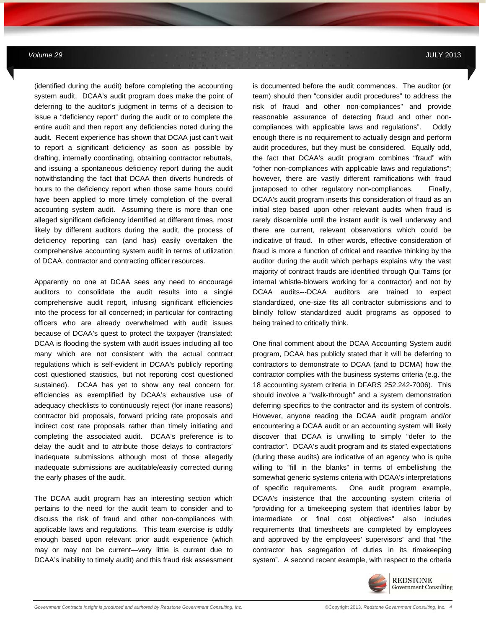(identified during the audit) before completing the accounting system audit. DCAA's audit program does make the point of deferring to the auditor's judgment in terms of a decision to issue a "deficiency report" during the audit or to complete the entire audit and then report any deficiencies noted during the audit. Recent experience has shown that DCAA just can't wait to report a significant deficiency as soon as possible by drafting, internally coordinating, obtaining contractor rebuttals, and issuing a spontaneous deficiency report during the audit notwithstanding the fact that DCAA then diverts hundreds of hours to the deficiency report when those same hours could have been applied to more timely completion of the overall accounting system audit. Assuming there is more than one alleged significant deficiency identified at different times, most likely by different auditors during the audit, the process of deficiency reporting can (and has) easily overtaken the comprehensive accounting system audit in terms of utilization of DCAA, contractor and contracting officer resources.

**MAY 2012** *Government Contracts Insights Newsletter*

Apparently no one at DCAA sees any need to encourage auditors to consolidate the audit results into a single comprehensive audit report, infusing significant efficiencies into the process for all concerned; in particular for contracting officers who are already overwhelmed with audit issues because of DCAA's quest to protect the taxpayer (translated: DCAA is flooding the system with audit issues including all too many which are not consistent with the actual contract regulations which is self-evident in DCAA's publicly reporting cost questioned statistics, but not reporting cost questioned sustained). DCAA has yet to show any real concern for efficiencies as exemplified by DCAA's exhaustive use of adequacy checklists to continuously reject (for inane reasons) contractor bid proposals, forward pricing rate proposals and indirect cost rate proposals rather than timely initiating and completing the associated audit. DCAA's preference is to delay the audit and to attribute those delays to contractors' inadequate submissions although most of those allegedly inadequate submissions are auditable/easily corrected during the early phases of the audit.

The DCAA audit program has an interesting section which pertains to the need for the audit team to consider and to discuss the risk of fraud and other non-compliances with applicable laws and regulations. This team exercise is oddly enough based upon relevant prior audit experience (which may or may not be current—very little is current due to DCAA's inability to timely audit) and this fraud risk assessment is documented before the audit commences. The auditor (or team) should then "consider audit procedures" to address the risk of fraud and other non-compliances" and provide reasonable assurance of detecting fraud and other noncompliances with applicable laws and regulations". Oddly enough there is no requirement to actually design and perform audit procedures, but they must be considered. Equally odd, the fact that DCAA's audit program combines "fraud" with "other non-compliances with applicable laws and regulations"; however, there are vastly different ramifications with fraud juxtaposed to other regulatory non-compliances. Finally, DCAA's audit program inserts this consideration of fraud as an initial step based upon other relevant audits when fraud is rarely discernible until the instant audit is well underway and there are current, relevant observations which could be indicative of fraud. In other words, effective consideration of fraud is more a function of critical and reactive thinking by the auditor during the audit which perhaps explains why the vast majority of contract frauds are identified through Qui Tams (or internal whistle-blowers working for a contractor) and not by DCAA audits---DCAA auditors are trained to expect standardized, one-size fits all contractor submissions and to blindly follow standardized audit programs as opposed to being trained to critically think.

One final comment about the DCAA Accounting System audit program, DCAA has publicly stated that it will be deferring to contractors to demonstrate to DCAA (and to DCMA) how the contractor complies with the business systems criteria (e.g. the 18 accounting system criteria in DFARS 252.242-7006). This should involve a "walk-through" and a system demonstration deferring specifics to the contractor and its system of controls. However, anyone reading the DCAA audit program and/or encountering a DCAA audit or an accounting system will likely discover that DCAA is unwilling to simply "defer to the contractor". DCAA's audit program and its stated expectations (during these audits) are indicative of an agency who is quite willing to "fill in the blanks" in terms of embellishing the somewhat generic systems criteria with DCAA's interpretations of specific requirements. One audit program example, DCAA's insistence that the accounting system criteria of "providing for a timekeeping system that identifies labor by intermediate or final cost objectives" also includes requirements that timesheets are completed by employees and approved by the employees' supervisors" and that "the contractor has segregation of duties in its timekeeping system". A second recent example, with respect to the criteria

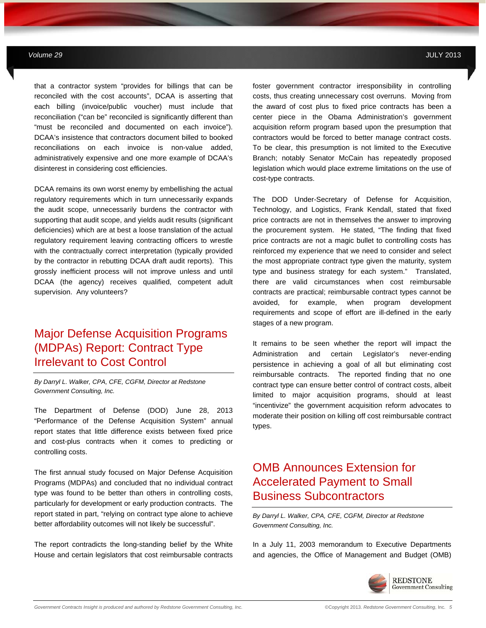that a contractor system "provides for billings that can be reconciled with the cost accounts", DCAA is asserting that each billing (invoice/public voucher) must include that reconciliation ("can be" reconciled is significantly different than "must be reconciled and documented on each invoice"). DCAA's insistence that contractors document billed to booked reconciliations on each invoice is non-value added, administratively expensive and one more example of DCAA's disinterest in considering cost efficiencies.

**MAY 2012** *Government Contracts Insights Newsletter*

DCAA remains its own worst enemy by embellishing the actual regulatory requirements which in turn unnecessarily expands the audit scope, unnecessarily burdens the contractor with supporting that audit scope, and vields audit results (significant deficiencies) which are at best a loose translation of the actual regulatory requirement leaving contracting officers to wrestle with the contractually correct interpretation (typically provided by the contractor in rebutting DCAA draft audit reports). This grossly inefficient process will not improve unless and until DCAA (the agency) receives qualified, competent adult supervision. Any volunteers?

# Major Defense Acquisition Programs (MDPAs) Report: Contract Type Irrelevant to Cost Control

*By Darryl L. Walker, CPA, CFE, CGFM, Director at Redstone Government Consulting, Inc.* 

The Department of Defense (DOD) June 28, 2013 "Performance of the Defense Acquisition System" annual report states that little difference exists between fixed price and cost-plus contracts when it comes to predicting or controlling costs.

The first annual study focused on Major Defense Acquisition Programs (MDPAs) and concluded that no individual contract type was found to be better than others in controlling costs, particularly for development or early production contracts. The report stated in part, "relying on contract type alone to achieve better affordability outcomes will not likely be successful".

The report contradicts the long-standing belief by the White House and certain legislators that cost reimbursable contracts foster government contractor irresponsibility in controlling costs, thus creating unnecessary cost overruns. Moving from the award of cost plus to fixed price contracts has been a center piece in the Obama Administration's government acquisition reform program based upon the presumption that contractors would be forced to better manage contract costs. To be clear, this presumption is not limited to the Executive Branch; notably Senator McCain has repeatedly proposed legislation which would place extreme limitations on the use of cost-type contracts.

The DOD Under-Secretary of Defense for Acquisition, Technology, and Logistics, Frank Kendall, stated that fixed price contracts are not in themselves the answer to improving the procurement system. He stated, "The finding that fixed price contracts are not a magic bullet to controlling costs has reinforced my experience that we need to consider and select the most appropriate contract type given the maturity, system type and business strategy for each system." Translated, there are valid circumstances when cost reimbursable contracts are practical; reimbursable contract types cannot be avoided, for example, when program development requirements and scope of effort are ill-defined in the early stages of a new program.

It remains to be seen whether the report will impact the Administration and certain Legislator's never-ending persistence in achieving a goal of all but eliminating cost reimbursable contracts. The reported finding that no one contract type can ensure better control of contract costs, albeit limited to major acquisition programs, should at least "incentivize" the government acquisition reform advocates to moderate their position on killing off cost reimbursable contract types.

# OMB Announces Extension for Accelerated Payment to Small Business Subcontractors

*By Darryl L. Walker, CPA, CFE, CGFM, Director at Redstone Government Consulting, Inc.* 

In a July 11, 2003 memorandum to Executive Departments and agencies, the Office of Management and Budget (OMB)

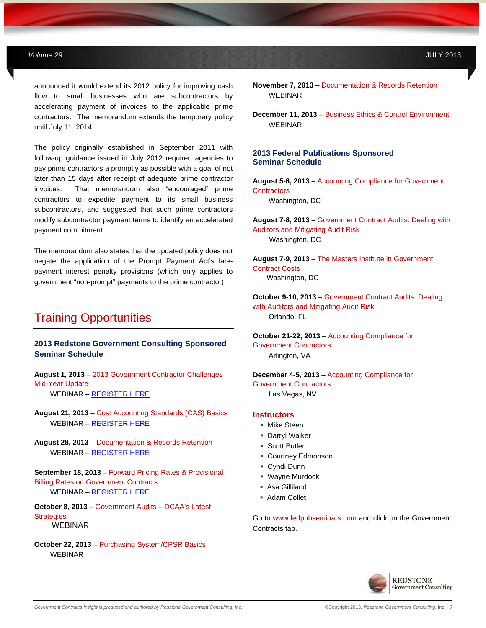announced it would extend its 2012 policy for improving cash flow to small businesses who are subcontractors by accelerating payment of invoices to the applicable prime contractors. The memorandum extends the temporary policy until July 11, 2014.

**MAY 2012** *Government Contracts Insights Newsletter*

The policy originally established in September 2011 with follow-up guidance issued in July 2012 required agencies to pay prime contractors a promptly as possible with a goal of not later than 15 days after receipt of adequate prime contractor invoices. That memorandum also "encouraged" prime contractors to expedite payment to its small business subcontractors, and suggested that such prime contractors modify subcontractor payment terms to identify an accelerated payment commitment.

The memorandum also states that the updated policy does not negate the application of the Prompt Payment Act's latepayment interest penalty provisions (which only applies to government "non-prompt" payments to the prime contractor).

## Training Opportunities

### **2013 Redstone Government Consulting Sponsored Seminar Schedule**

**August 1, 2013** – 2013 Government Contractor Challenges Mid-Year Update WEBINAR – [REGISTER HERE](http://info.redstonegci.com/08-01-13-government-contractor-2013-challenges-mid-year-update-webinar)

**August 21, 2013** – Cost Accounting Standards (CAS) Basics WEBINAR – [REGISTER HERE](http://info.redstonegci.com/08-21-13-fundamentals-of-cost-accounting-standards-CAS-webinar)

**August 28, 2013** – Documentation & Records Retention WEBINAR – [REGISTER HERE](http://info.redstonegci.com/08-28-13-documentation-and-records-retention-webinar) 

**September 18, 2013** – Forward Pricing Rates & Provisional Billing Rates on Government Contracts WEBINAR – [REGISTER HERE](http://info.redstonegci.com/09-18-13-foward-pricing-rates--provisional-billing-rates-on-government-contracts-webinar)

**October 8, 2013** – Government Audits – DCAA's Latest **Strategies** WEBINAR

**October 22, 2013** – Purchasing System/CPSR Basics WEBINAR

- **November 7, 2013**  Documentation & Records Retention WEBINAR
- **December 11, 2013**  Business Ethics & Control Environment **WEBINAR**

### **2013 Federal Publications Sponsored Seminar Schedule**

**August 5-6, 2013** – Accounting Compliance for Government **Contractors** Washington, DC

**August 7-8, 2013** – Government Contract Audits: Dealing with Auditors and Mitigating Audit Risk Washington, DC

**August 7-9, 2013** – The Masters Institute in Government Contract Costs Washington, DC

**October 9-10, 2013** – Government Contract Audits: Dealing with Auditors and Mitigating Audit Risk Orlando, FL

**October 21-22, 2013** – Accounting Compliance for Government Contractors Arlington, VA

**December 4-5, 2013** – Accounting Compliance for Government Contractors Las Vegas, NV

### **Instructors**

- **Mike Steen**
- **Darryl Walker**
- **Scott Butler**
- **Courtney Edmonson**
- Cyndi Dunn
- **Wayne Murdock**
- Asa Gilliland
- **Adam Collet**

Go to www.fedpubseminars.com and click on the Government Contracts tab.